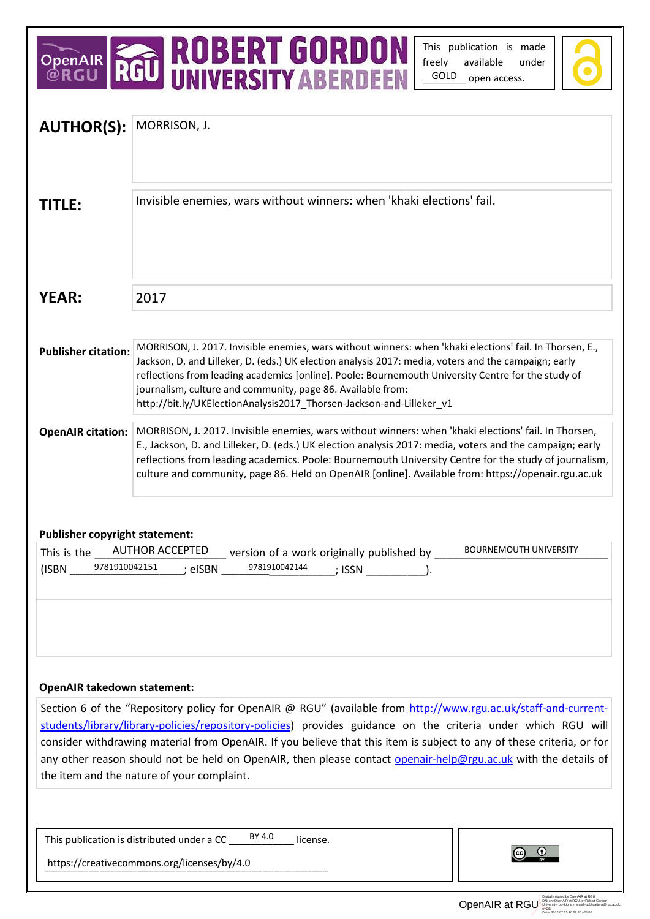## OPENAIR **ROBERT GORDON**

This publication is made freely available under GOLD open access.



| <b>AUTHOR(S):</b>                                                                                                                                                                                                                                                                                                                                                                                                                                                                                                        | MORRISON, J.                                                                                                                                                                                                                                                                                                                                                                                                                                                  |
|--------------------------------------------------------------------------------------------------------------------------------------------------------------------------------------------------------------------------------------------------------------------------------------------------------------------------------------------------------------------------------------------------------------------------------------------------------------------------------------------------------------------------|---------------------------------------------------------------------------------------------------------------------------------------------------------------------------------------------------------------------------------------------------------------------------------------------------------------------------------------------------------------------------------------------------------------------------------------------------------------|
|                                                                                                                                                                                                                                                                                                                                                                                                                                                                                                                          |                                                                                                                                                                                                                                                                                                                                                                                                                                                               |
| <b>TITLE:</b>                                                                                                                                                                                                                                                                                                                                                                                                                                                                                                            | Invisible enemies, wars without winners: when 'khaki elections' fail.                                                                                                                                                                                                                                                                                                                                                                                         |
| <b>YEAR:</b>                                                                                                                                                                                                                                                                                                                                                                                                                                                                                                             | 2017                                                                                                                                                                                                                                                                                                                                                                                                                                                          |
| <b>Publisher citation:</b>                                                                                                                                                                                                                                                                                                                                                                                                                                                                                               | MORRISON, J. 2017. Invisible enemies, wars without winners: when 'khaki elections' fail. In Thorsen, E.,<br>Jackson, D. and Lilleker, D. (eds.) UK election analysis 2017: media, voters and the campaign; early<br>reflections from leading academics [online]. Poole: Bournemouth University Centre for the study of<br>journalism, culture and community, page 86. Available from:<br>http://bit.ly/UKElectionAnalysis2017_Thorsen-Jackson-and-Lilleker_v1 |
| <b>OpenAIR citation:</b>                                                                                                                                                                                                                                                                                                                                                                                                                                                                                                 | MORRISON, J. 2017. Invisible enemies, wars without winners: when 'khaki elections' fail. In Thorsen,<br>E., Jackson, D. and Lilleker, D. (eds.) UK election analysis 2017: media, voters and the campaign; early<br>reflections from leading academics. Poole: Bournemouth University Centre for the study of journalism,<br>culture and community, page 86. Held on OpenAIR [online]. Available from: https://openair.rgu.ac.uk                              |
| <b>Publisher copyright statement:</b><br><b>AUTHOR ACCEPTED</b><br><b>BOURNEMOUTH UNIVERSITY</b><br>This is the<br>version of a work originally published by<br>9781910042151<br>9781910042144<br>(ISBN<br>; eISBN<br>; ISSN                                                                                                                                                                                                                                                                                             |                                                                                                                                                                                                                                                                                                                                                                                                                                                               |
|                                                                                                                                                                                                                                                                                                                                                                                                                                                                                                                          |                                                                                                                                                                                                                                                                                                                                                                                                                                                               |
| <b>OpenAIR takedown statement:</b>                                                                                                                                                                                                                                                                                                                                                                                                                                                                                       |                                                                                                                                                                                                                                                                                                                                                                                                                                                               |
| Section 6 of the "Repository policy for OpenAIR @ RGU" (available from http://www.rgu.ac.uk/staff-and-current-<br>students/library/library-policies/repository-policies) provides guidance on the criteria under which RGU will<br>consider withdrawing material from OpenAIR. If you believe that this item is subject to any of these criteria, or for<br>any other reason should not be held on OpenAIR, then please contact openair-help@rgu.ac.uk with the details of<br>the item and the nature of your complaint. |                                                                                                                                                                                                                                                                                                                                                                                                                                                               |
|                                                                                                                                                                                                                                                                                                                                                                                                                                                                                                                          |                                                                                                                                                                                                                                                                                                                                                                                                                                                               |
| This publication is distributed under a CC $\frac{BY}{24.0}$<br>license.<br>https://creativecommons.org/licenses/by/4.0                                                                                                                                                                                                                                                                                                                                                                                                  |                                                                                                                                                                                                                                                                                                                                                                                                                                                               |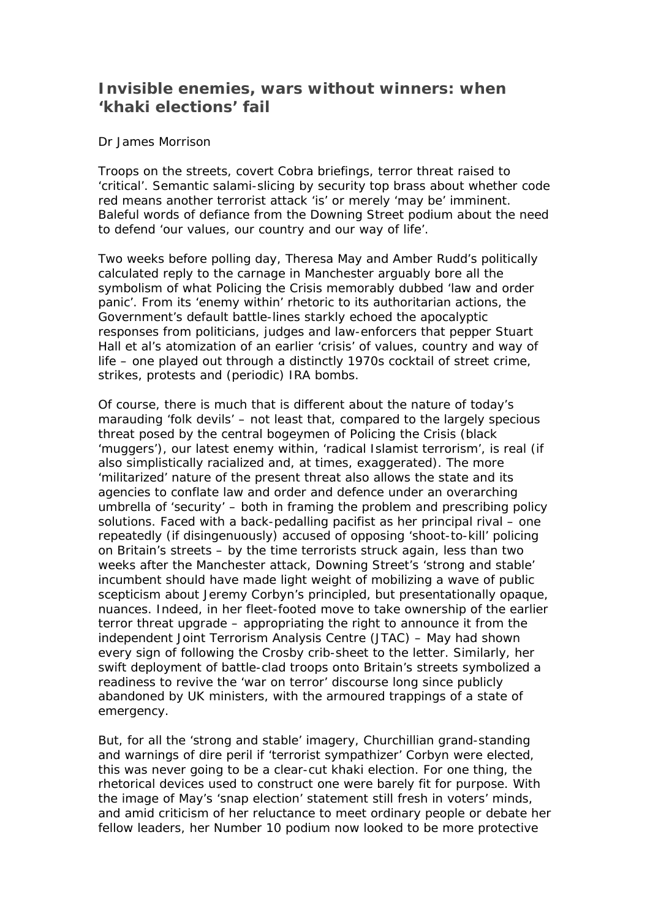## **Invisible enemies, wars without winners: when 'khaki elections' fail**

## Dr James Morrison

Troops on the streets, covert Cobra briefings, terror threat raised to 'critical'. Semantic salami-slicing by security top brass about whether code red means another terrorist attack 'is' or merely 'may be' imminent. Baleful words of defiance from the Downing Street podium about the need to defend 'our values, our country and our way of life'.

Two weeks before polling day, Theresa May and Amber Rudd's politically calculated reply to the carnage in Manchester arguably bore all the symbolism of what Policing the Crisis memorably dubbed 'law and order panic'. From its 'enemy within' rhetoric to its authoritarian actions, the Government's default battle-lines starkly echoed the apocalyptic responses from politicians, judges and law-enforcers that pepper Stuart Hall et al's atomization of an earlier 'crisis' of values, country and way of life – one played out through a distinctly 1970s cocktail of street crime, strikes, protests and (periodic) IRA bombs.

Of course, there is much that is different about the nature of today's marauding 'folk devils' – not least that, compared to the largely specious threat posed by the central bogeymen of Policing the Crisis (black 'muggers'), our latest enemy within, 'radical Islamist terrorism', is real (if also simplistically racialized and, at times, exaggerated). The more 'militarized' nature of the present threat also allows the state and its agencies to conflate law and order and defence under an overarching umbrella of 'security' – both in framing the problem and prescribing policy solutions. Faced with a back-pedalling pacifist as her principal rival – one repeatedly (if disingenuously) accused of opposing 'shoot-to-kill' policing on Britain's streets – by the time terrorists struck again, less than two weeks after the Manchester attack, Downing Street's 'strong and stable' incumbent should have made light weight of mobilizing a wave of public scepticism about Jeremy Corbyn's principled, but presentationally opaque, nuances. Indeed, in her fleet-footed move to take ownership of the earlier terror threat upgrade – appropriating the right to announce it from the independent Joint Terrorism Analysis Centre (JTAC) – May had shown every sign of following the Crosby crib-sheet to the letter. Similarly, her swift deployment of battle-clad troops onto Britain's streets symbolized a readiness to revive the 'war on terror' discourse long since publicly abandoned by UK ministers, with the armoured trappings of a state of emergency.

But, for all the 'strong and stable' imagery, Churchillian grand-standing and warnings of dire peril if 'terrorist sympathizer' Corbyn were elected, this was never going to be a clear-cut khaki election. For one thing, the rhetorical devices used to construct one were barely fit for purpose. With the image of May's 'snap election' statement still fresh in voters' minds, and amid criticism of her reluctance to meet ordinary people or debate her fellow leaders, her Number 10 podium now looked to be more protective